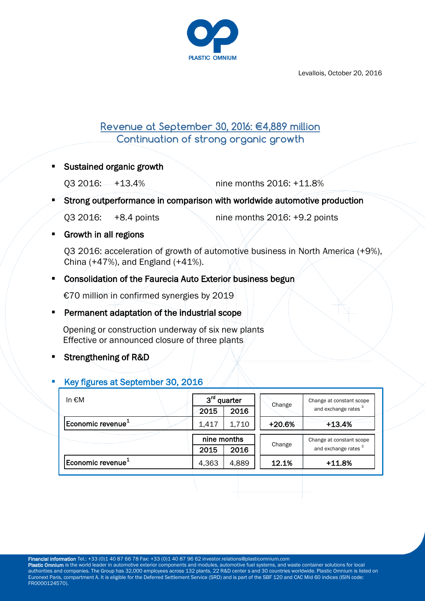

Levallois, October 20, 2016

## **Revenue at September 30, 2016: €4,889 million Continuation of strong organic growth**

# **Sustained organic growth** Q3 2016: +13.4% nine months 2016: +11.8% **Strong outperformance in comparison with worldwide automotive production** Q3 2016: +8.4 points nine months 2016: +9.2 points **Growth in all regions**

Q3 2016: acceleration of growth of automotive business in North America (+9%), China  $(+47%)$ , and England  $(+41%)$ .

## **EXTERN Consolidation of the Faurecia Auto Exterior business begunt**

€70 million in confirmed synergies by 2019

## **Permanent adaptation of the industrial scope**

Opening or construction underway of six new plants Effective or announced closure of three plants

Strengthening of R&D

## Key figures at September 30, 2016

| In $\epsilon$ M                  | 3 <sup>rd</sup><br>quarter |       | Change | Change at constant scope        |  |
|----------------------------------|----------------------------|-------|--------|---------------------------------|--|
|                                  | 2015                       | 2016  |        | and exchange rates <sup>3</sup> |  |
| Economic revenue <sup>1</sup>    | 1,417                      | 1,710 | +20.6% | $+13.4%$                        |  |
|                                  | nine months                |       | Change | Change at constant scope        |  |
|                                  | 2015                       | 2016  |        | and exchange rates <sup>3</sup> |  |
| Economic revenue $^{\mathtt{1}}$ | 4,363                      | 4,889 | 12.1%  | $+11.8%$                        |  |
|                                  |                            |       |        |                                 |  |

Financial information Tel.: +33 (0)1 40 87 66 78 Fax: +33 (0)1 40 87 96 62 investor.relations@plasticomnium.com

Plastic Omnium is the world leader in automotive exterior components and modules, automotive fuel systems, and waste container solutions for local authorities and companies. The Group has 32,000 employees across 132 plants, 22 R&D center s and 30 countries worldwide. Plastic Omnium is listed on Euronext Paris, compartment A. It is eligible for the Deferred Settlement Service (SRD) and is part of the SBF 120 and CAC Mid 60 indices (ISIN code: FR0000124570).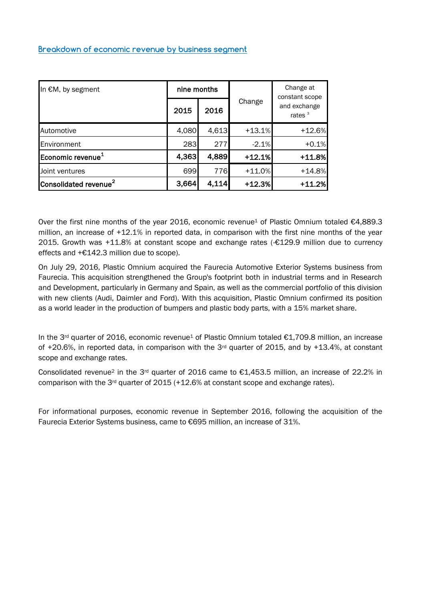#### **Breakdown of economic revenue by business segment**

| In €M, by segment                 | nine months |       |          | Change at<br>constant scope |
|-----------------------------------|-------------|-------|----------|-----------------------------|
|                                   | 2015        | 2016  | Change   | and exchange<br>rates $3$   |
| Automotive                        | 4,080       | 4,613 | $+13.1%$ | $+12.6%$                    |
| Environment                       | 283         | 277   | $-2.1%$  | $+0.1%$                     |
| Economic revenue <sup>1</sup>     | 4,363       | 4,889 | $+12.1%$ | $+11.8%$                    |
| Joint ventures                    | 699         | 776   | $+11.0%$ | $+14.8%$                    |
| Consolidated revenue <sup>2</sup> | 3,664       | 4,114 | $+12.3%$ | $+11.2%$                    |

Over the first nine months of the year 2016, economic revenue<sup>1</sup> of Plastic Omnium totaled €4,889.3 million, an increase of +12.1% in reported data, in comparison with the first nine months of the year 2015. Growth was +11.8% at constant scope and exchange rates (-€129.9 million due to currency effects and +€142.3 million due to scope).

On July 29, 2016, Plastic Omnium acquired the Faurecia Automotive Exterior Systems business from Faurecia. This acquisition strengthened the Group's footprint both in industrial terms and in Research and Development, particularly in Germany and Spain, as well as the commercial portfolio of this division with new clients (Audi, Daimler and Ford). With this acquisition, Plastic Omnium confirmed its position as a world leader in the production of bumpers and plastic body parts, with a 15% market share.

In the 3<sup>rd</sup> quarter of 2016, economic revenue<sup>1</sup> of Plastic Omnium totaled €1,709.8 million, an increase of +20.6%, in reported data, in comparison with the 3<sup>rd</sup> quarter of 2015, and by +13.4%, at constant scope and exchange rates.

Consolidated revenue<sup>2</sup> in the 3<sup>rd</sup> quarter of 2016 came to  $\epsilon$ 1,453.5 million, an increase of 22.2% in comparison with the 3rd quarter of 2015 (+12.6% at constant scope and exchange rates).

For informational purposes, economic revenue in September 2016, following the acquisition of the Faurecia Exterior Systems business, came to €695 million, an increase of 31%.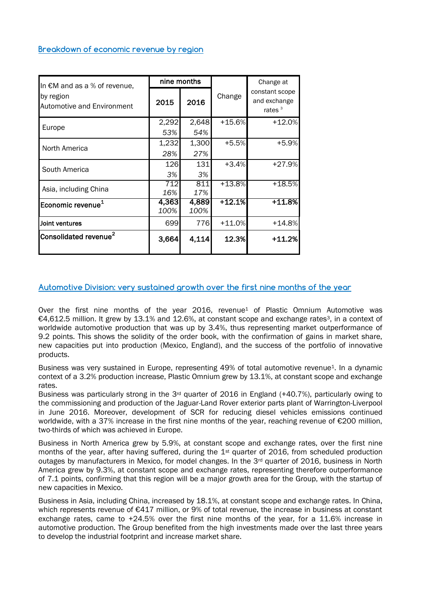#### **Breakdown of economic revenue by region**

| In $EM$ and as a % of revenue,          |               | nine months   |          | Change at                                   |
|-----------------------------------------|---------------|---------------|----------|---------------------------------------------|
| by region<br>Automotive and Environment | 2015          | 2016          | Change   | constant scope<br>and exchange<br>rates $3$ |
|                                         | 2,292         | 2,648         | $+15.6%$ | $+12.0%$                                    |
| Europe                                  | 53%           | 54%           |          |                                             |
| North America                           | 1,232         | 1,300         | +5.5%    | +5.9%                                       |
|                                         | 28%           | 27%           |          |                                             |
|                                         | 126           | 131           | $+3.4%$  | $+27.9%$                                    |
| South America                           | 3%            | 3%            |          |                                             |
| Asia, including China                   | 712<br>16%    | 811<br>17%    | +13.8%   | $+18.5%$                                    |
| Economic revenue <sup>1</sup>           | 4,363<br>100% | 4,889<br>100% | $+12.1%$ | +11.8%                                      |
| Joint ventures                          | 699           | 776           | $+11.0%$ | $+14.8%$                                    |
| Consolidated revenue <sup>2</sup>       | 3,664         | 4,114         | 12.3%    | +11.2%                                      |

#### **Automotive Division: very sustained growth over the first nine months of the year**

Over the first nine months of the year 2016, revenue<sup>1</sup> of Plastic Omnium Automotive was €4,612.5 million. It grew by 13.1% and 12.6%, at constant scope and exchange rates3, in a context of worldwide automotive production that was up by 3.4%, thus representing market outperformance of 9.2 points. This shows the solidity of the order book, with the confirmation of gains in market share, new capacities put into production (Mexico, England), and the success of the portfolio of innovative products.

Business was very sustained in Europe, representing 49% of total automotive revenue1. In a dynamic context of a 3.2% production increase, Plastic Omnium grew by 13.1%, at constant scope and exchange rates.

Business was particularly strong in the 3rd quarter of 2016 in England (+40.7%), particularly owing to the commissioning and production of the Jaguar-Land Rover exterior parts plant of Warrington-Liverpool in June 2016. Moreover, development of SCR for reducing diesel vehicles emissions continued worldwide, with a 37% increase in the first nine months of the year, reaching revenue of €200 million, two-thirds of which was achieved in Europe.

Business in North America grew by 5.9%, at constant scope and exchange rates, over the first nine months of the year, after having suffered, during the 1st quarter of 2016, from scheduled production outages by manufacturers in Mexico, for model changes. In the 3rd quarter of 2016, business in North America grew by 9.3%, at constant scope and exchange rates, representing therefore outperformance of 7.1 points, confirming that this region will be a major growth area for the Group, with the startup of new capacities in Mexico.

Business in Asia, including China, increased by 18.1%, at constant scope and exchange rates. In China, which represents revenue of €417 million, or 9% of total revenue, the increase in business at constant exchange rates, came to +24.5% over the first nine months of the year, for a 11.6% increase in automotive production. The Group benefited from the high investments made over the last three years to develop the industrial footprint and increase market share.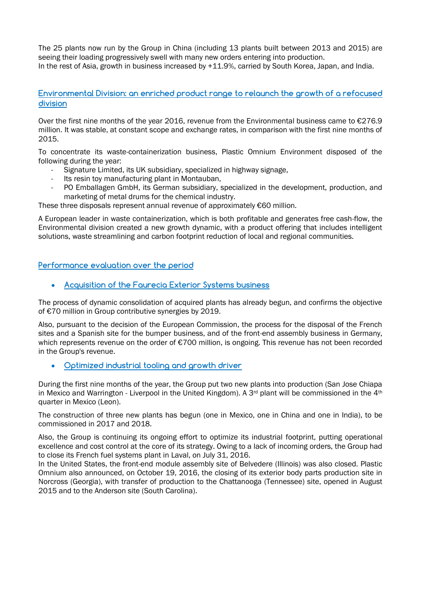The 25 plants now run by the Group in China (including 13 plants built between 2013 and 2015) are seeing their loading progressively swell with many new orders entering into production. In the rest of Asia, growth in business increased by +11.9%, carried by South Korea, Japan, and India.

#### **Environmental Division: an enriched product range to relaunch the growth of a refocused division**

Over the first nine months of the year 2016, revenue from the Environmental business came to €276.9 million. It was stable, at constant scope and exchange rates, in comparison with the first nine months of 2015.

To concentrate its waste-containerization business, Plastic Omnium Environment disposed of the following during the year:

- Signature Limited, its UK subsidiary, specialized in highway signage,
- Its resin toy manufacturing plant in Montauban,
- PO Emballagen GmbH, its German subsidiary, specialized in the development, production, and marketing of metal drums for the chemical industry.

These three disposals represent annual revenue of approximately €60 million.

A European leader in waste containerization, which is both profitable and generates free cash-flow, the Environmental division created a new growth dynamic, with a product offering that includes intelligent solutions, waste streamlining and carbon footprint reduction of local and regional communities.

#### **Performance evaluation over the period**

#### **Acquisition of the Faurecia Exterior Systems business**

The process of dynamic consolidation of acquired plants has already begun, and confirms the objective of €70 million in Group contributive synergies by 2019.

Also, pursuant to the decision of the European Commission, the process for the disposal of the French sites and a Spanish site for the bumper business, and of the front-end assembly business in Germany, which represents revenue on the order of €700 million, is ongoing. This revenue has not been recorded in the Group's revenue.

#### **Optimized industrial tooling and growth driver**

During the first nine months of the year, the Group put two new plants into production (San Jose Chiapa in Mexico and Warrington - Liverpool in the United Kingdom). A  $3<sup>rd</sup>$  plant will be commissioned in the  $4<sup>th</sup>$ quarter in Mexico (Leon).

The construction of three new plants has begun (one in Mexico, one in China and one in India), to be commissioned in 2017 and 2018.

Also, the Group is continuing its ongoing effort to optimize its industrial footprint, putting operational excellence and cost control at the core of its strategy. Owing to a lack of incoming orders, the Group had to close its French fuel systems plant in Laval, on July 31, 2016.

In the United States, the front-end module assembly site of Belvedere (Illinois) was also closed. Plastic Omnium also announced, on October 19, 2016, the closing of its exterior body parts production site in Norcross (Georgia), with transfer of production to the Chattanooga (Tennessee) site, opened in August 2015 and to the Anderson site (South Carolina).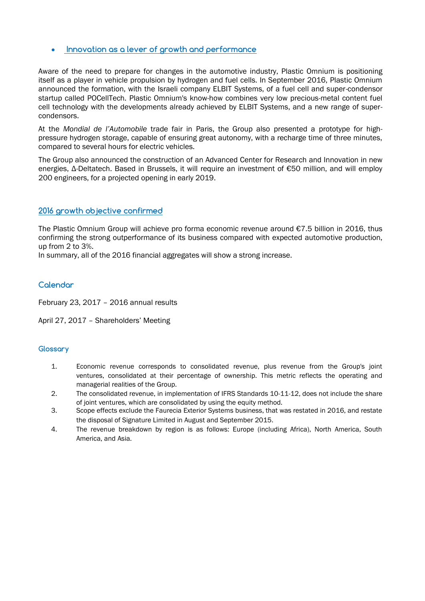#### **Innovation as a lever of growth and performance**

Aware of the need to prepare for changes in the automotive industry, Plastic Omnium is positioning itself as a player in vehicle propulsion by hydrogen and fuel cells. In September 2016, Plastic Omnium announced the formation, with the Israeli company ELBIT Systems, of a fuel cell and super-condensor startup called POCellTech. Plastic Omnium's know-how combines very low precious-metal content fuel cell technology with the developments already achieved by ELBIT Systems, and a new range of supercondensors.

At the *Mondial de l'Automobile* trade fair in Paris, the Group also presented a prototype for highpressure hydrogen storage, capable of ensuring great autonomy, with a recharge time of three minutes, compared to several hours for electric vehicles.

The Group also announced the construction of an Advanced Center for Research and Innovation in new energies, Δ-Deltatech. Based in Brussels, it will require an investment of €50 million, and will employ 200 engineers, for a projected opening in early 2019.

#### **2016 growth objective confirmed**

The Plastic Omnium Group will achieve pro forma economic revenue around €7.5 billion in 2016, thus confirming the strong outperformance of its business compared with expected automotive production, up from 2 to 3%.

In summary, all of the 2016 financial aggregates will show a strong increase.

#### **Calendar**

February 23, 2017 – 2016 annual results

April 27, 2017 – Shareholders' Meeting

#### **Glossary**

- 1. Economic revenue corresponds to consolidated revenue, plus revenue from the Group's joint ventures, consolidated at their percentage of ownership. This metric reflects the operating and managerial realities of the Group.
- 2. The consolidated revenue, in implementation of IFRS Standards 10-11-12, does not include the share of joint ventures, which are consolidated by using the equity method.
- 3. Scope effects exclude the Faurecia Exterior Systems business, that was restated in 2016, and restate the disposal of Signature Limited in August and September 2015.
- 4. The revenue breakdown by region is as follows: Europe (including Africa), North America, South America, and Asia.